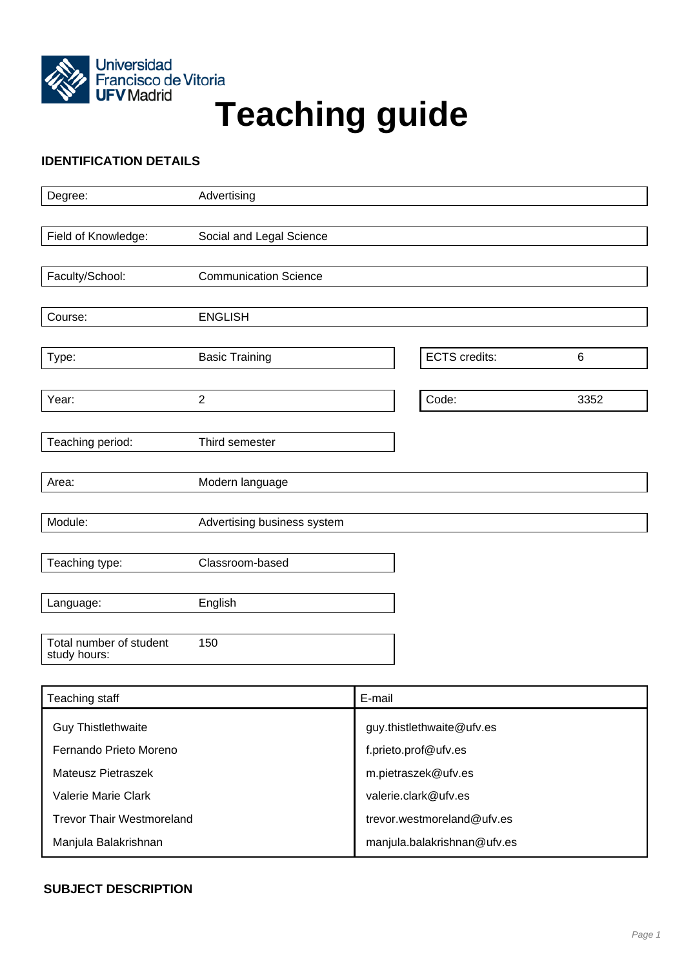

# Universidad<br>Francisco de Vitoria<br>**Teaching guide**

# **IDENTIFICATION DETAILS**

| Advertising                  |                                                                                                       |                               |
|------------------------------|-------------------------------------------------------------------------------------------------------|-------------------------------|
|                              |                                                                                                       |                               |
| Social and Legal Science     |                                                                                                       |                               |
|                              |                                                                                                       |                               |
| <b>Communication Science</b> |                                                                                                       |                               |
|                              |                                                                                                       |                               |
|                              |                                                                                                       |                               |
|                              |                                                                                                       |                               |
|                              |                                                                                                       | $\,6\,$                       |
|                              |                                                                                                       | 3352                          |
|                              |                                                                                                       |                               |
|                              |                                                                                                       |                               |
|                              |                                                                                                       |                               |
|                              |                                                                                                       |                               |
|                              |                                                                                                       |                               |
| Advertising business system  |                                                                                                       |                               |
|                              |                                                                                                       |                               |
| Classroom-based              |                                                                                                       |                               |
|                              |                                                                                                       |                               |
| English                      |                                                                                                       |                               |
|                              |                                                                                                       |                               |
|                              |                                                                                                       |                               |
|                              | <b>ENGLISH</b><br><b>Basic Training</b><br>$\overline{2}$<br>Third semester<br>Modern language<br>150 | <b>ECTS</b> credits:<br>Code: |

| Teaching staff                   | E-mail                      |
|----------------------------------|-----------------------------|
| <b>Guy Thistlethwaite</b>        | guy.thistlethwaite@ufv.es   |
| Fernando Prieto Moreno           | f.prieto.prof@ufv.es        |
| Mateusz Pietraszek               | m.pietraszek@ufv.es         |
| <b>Valerie Marie Clark</b>       | valerie.clark@ufv.es        |
| <b>Trevor Thair Westmoreland</b> | trevor.westmoreland@ufv.es  |
| Manjula Balakrishnan             | manjula.balakrishnan@ufv.es |

## **SUBJECT DESCRIPTION**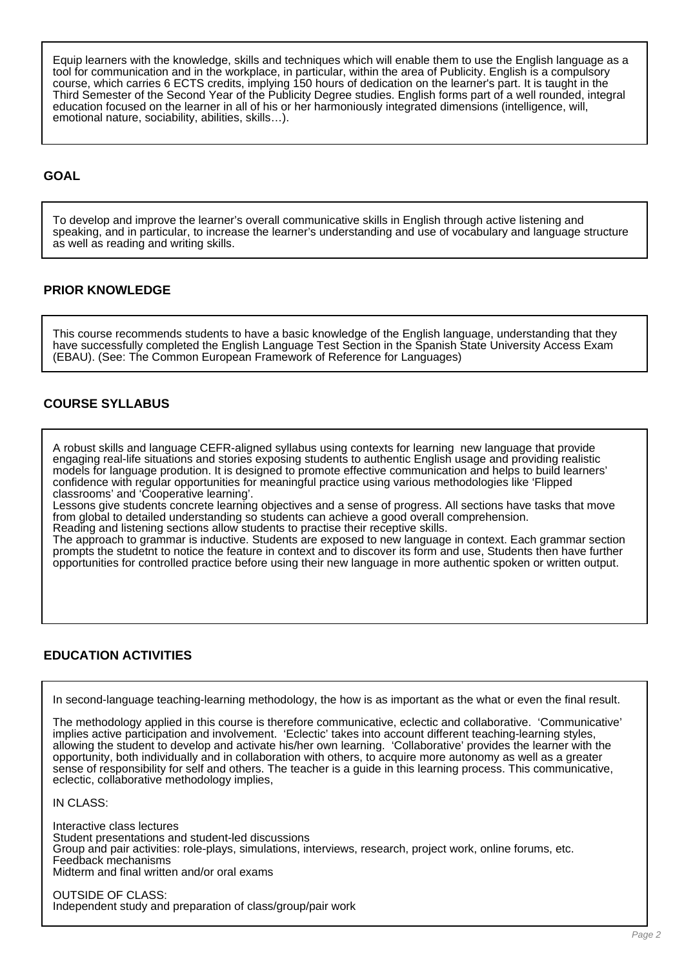Equip learners with the knowledge, skills and techniques which will enable them to use the English language as a tool for communication and in the workplace, in particular, within the area of Publicity. English is a compulsory course, which carries 6 ECTS credits, implying 150 hours of dedication on the learner's part. It is taught in the Third Semester of the Second Year of the Publicity Degree studies. English forms part of a well rounded, integral education focused on the learner in all of his or her harmoniously integrated dimensions (intelligence, will, emotional nature, sociability, abilities, skills…).

## **GOAL**

To develop and improve the learner's overall communicative skills in English through active listening and speaking, and in particular, to increase the learner's understanding and use of vocabulary and language structure as well as reading and writing skills.

#### **PRIOR KNOWLEDGE**

This course recommends students to have a basic knowledge of the English language, understanding that they have successfully completed the English Language Test Section in the Spanish State University Access Exam (EBAU). (See: The Common European Framework of Reference for Languages)

## **COURSE SYLLABUS**

A robust skills and language CEFR-aligned syllabus using contexts for learning new language that provide engaging real-life situations and stories exposing students to authentic English usage and providing realistic models for language prodution. It is designed to promote effective communication and helps to build learners' confidence with regular opportunities for meaningful practice using various methodologies like 'Flipped classrooms' and 'Cooperative learning'.

Lessons give students concrete learning objectives and a sense of progress. All sections have tasks that move from global to detailed understanding so students can achieve a good overall comprehension.

Reading and listening sections allow students to practise their receptive skills. The approach to grammar is inductive. Students are exposed to new language in context. Each grammar section prompts the studetnt to notice the feature in context and to discover its form and use, Students then have further

opportunities for controlled practice before using their new language in more authentic spoken or written output.

## **EDUCATION ACTIVITIES**

In second-language teaching-learning methodology, the how is as important as the what or even the final result.

The methodology applied in this course is therefore communicative, eclectic and collaborative. 'Communicative' implies active participation and involvement. 'Eclectic' takes into account different teaching-learning styles, allowing the student to develop and activate his/her own learning. 'Collaborative' provides the learner with the opportunity, both individually and in collaboration with others, to acquire more autonomy as well as a greater sense of responsibility for self and others. The teacher is a guide in this learning process. This communicative, eclectic, collaborative methodology implies,

IN CLASS:

Interactive class lectures Student presentations and student-led discussions Group and pair activities: role-plays, simulations, interviews, research, project work, online forums, etc. Feedback mechanisms Midterm and final written and/or oral exams

OUTSIDE OF CLASS: Independent study and preparation of class/group/pair work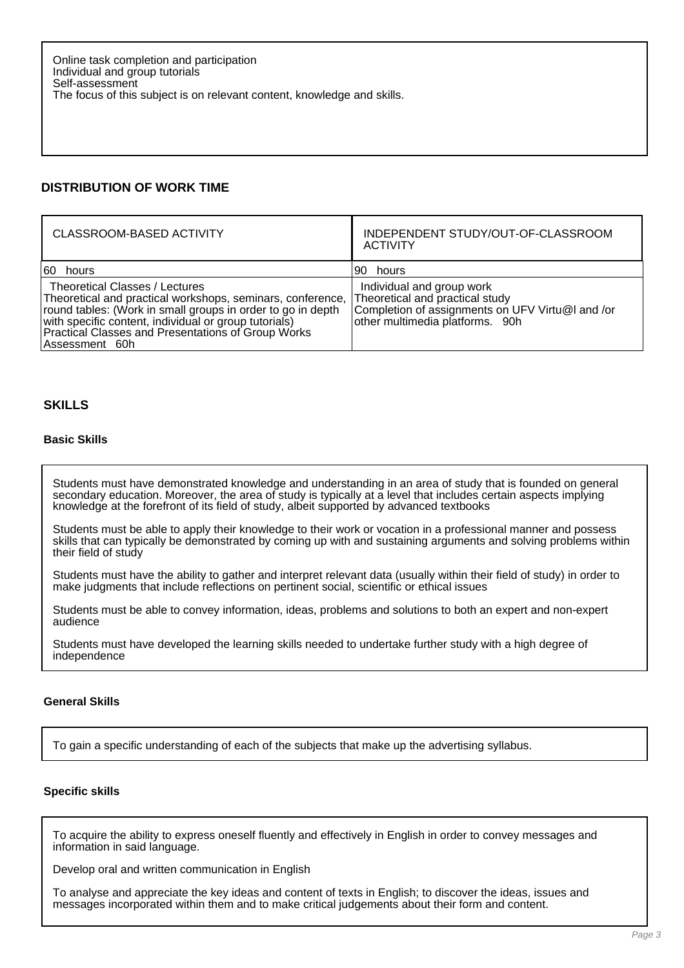# **DISTRIBUTION OF WORK TIME**

| CLASSROOM-BASED ACTIVITY                                                                                                                                                                                                                                                                     | INDEPENDENT STUDY/OUT-OF-CLASSROOM<br><b>ACTIVITY</b>                                                                                               |
|----------------------------------------------------------------------------------------------------------------------------------------------------------------------------------------------------------------------------------------------------------------------------------------------|-----------------------------------------------------------------------------------------------------------------------------------------------------|
| 60 hours                                                                                                                                                                                                                                                                                     | 90 hours                                                                                                                                            |
| Theoretical Classes / Lectures<br>Theoretical and practical workshops, seminars, conference,<br>round tables: (Work in small groups in order to go in depth<br>with specific content, individual or group tutorials)<br>Practical Classes and Presentations of Group Works<br>Assessment 60h | Individual and group work<br>Theoretical and practical study<br>Completion of assignments on UFV Virtu@I and /or<br>other multimedia platforms. 90h |

## **SKILLS**

#### **Basic Skills**

Students must have demonstrated knowledge and understanding in an area of study that is founded on general secondary education. Moreover, the area of study is typically at a level that includes certain aspects implying knowledge at the forefront of its field of study, albeit supported by advanced textbooks

Students must be able to apply their knowledge to their work or vocation in a professional manner and possess skills that can typically be demonstrated by coming up with and sustaining arguments and solving problems within their field of study

Students must have the ability to gather and interpret relevant data (usually within their field of study) in order to make judgments that include reflections on pertinent social, scientific or ethical issues

Students must be able to convey information, ideas, problems and solutions to both an expert and non-expert audience

Students must have developed the learning skills needed to undertake further study with a high degree of independence

#### **General Skills**

To gain a specific understanding of each of the subjects that make up the advertising syllabus.

#### **Specific skills**

To acquire the ability to express oneself fluently and effectively in English in order to convey messages and information in said language.

Develop oral and written communication in English

To analyse and appreciate the key ideas and content of texts in English; to discover the ideas, issues and messages incorporated within them and to make critical judgements about their form and content.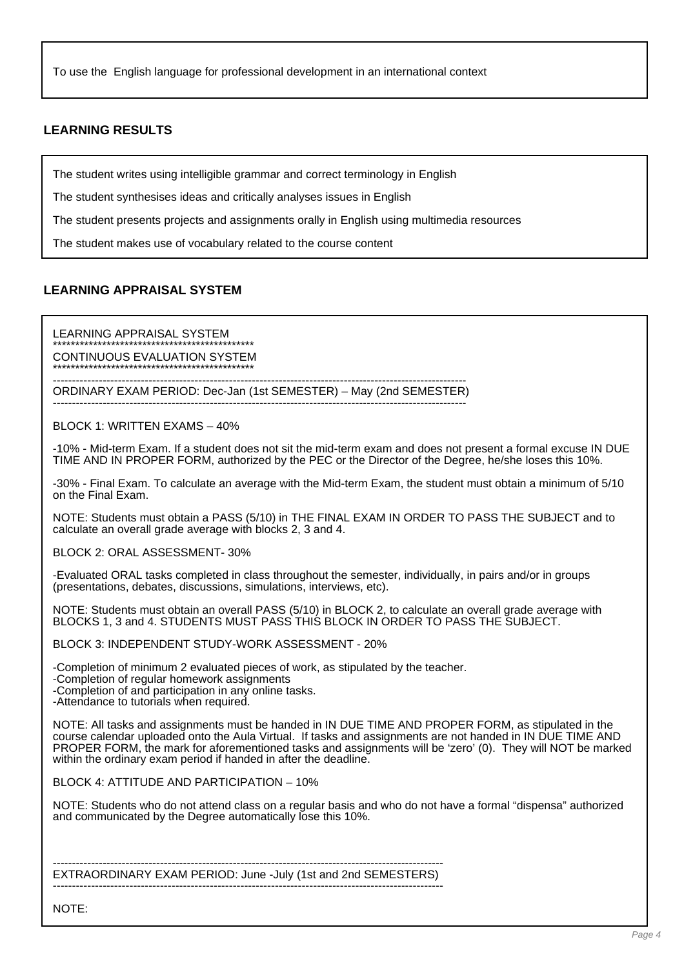To use the English language for professional development in an international context

## **LEARNING RESULTS**

The student writes using intelligible grammar and correct terminology in English

The student synthesises ideas and critically analyses issues in English

The student presents projects and assignments orally in English using multimedia resources

The student makes use of vocabulary related to the course content

#### **LEARNING APPRAISAL SYSTEM**

LEARNING APPRAISAL SYSTEM \*\*\*\*\*\*\*\*\*\*\*\*\*\*\*\*\*\*\*\*\*\*\*\*\*\*\*\*\*\*\*\*\*\*\*\*\*\*\*\*\*\*\*\*\*

CONTINUOUS EVALUATION SYSTEM \*\*\*\*\*\*\*\*\*\*\*\*\*\*\*\*\*\*\*\*\*\*\*\*\*\*\*\*\*\*\*\*\*\*\*\*\*\*\*\*\*\*\*\*\*

------------------------------------------------------------------------------------------------------------ ORDINARY EXAM PERIOD: Dec-Jan (1st SEMESTER) – May (2nd SEMESTER) ------------------------------------------------------------------------------------------------------------

BLOCK 1: WRITTEN EXAMS – 40%

-10% - Mid-term Exam. If a student does not sit the mid-term exam and does not present a formal excuse IN DUE TIME AND IN PROPER FORM, authorized by the PEC or the Director of the Degree, he/she loses this 10%.

-30% - Final Exam. To calculate an average with the Mid-term Exam, the student must obtain a minimum of 5/10 on the Final Exam.

NOTE: Students must obtain a PASS (5/10) in THE FINAL EXAM IN ORDER TO PASS THE SUBJECT and to calculate an overall grade average with blocks 2, 3 and 4.

BLOCK 2: ORAL ASSESSMENT- 30%

-Evaluated ORAL tasks completed in class throughout the semester, individually, in pairs and/or in groups (presentations, debates, discussions, simulations, interviews, etc).

NOTE: Students must obtain an overall PASS (5/10) in BLOCK 2, to calculate an overall grade average with BLOCKS 1, 3 and 4. STUDENTS MUST PASS THIS BLOCK IN ORDER TO PASS THE SUBJECT.

BLOCK 3: INDEPENDENT STUDY-WORK ASSESSMENT - 20%

-Completion of minimum 2 evaluated pieces of work, as stipulated by the teacher.

-Completion of regular homework assignments

-Completion of and participation in any online tasks.

-Attendance to tutorials when required.

NOTE: All tasks and assignments must be handed in IN DUE TIME AND PROPER FORM, as stipulated in the course calendar uploaded onto the Aula Virtual. If tasks and assignments are not handed in IN DUE TIME AND PROPER FORM, the mark for aforementioned tasks and assignments will be 'zero' (0). They will NOT be marked within the ordinary exam period if handed in after the deadline.

BLOCK 4: ATTITUDE AND PARTICIPATION – 10%

NOTE: Students who do not attend class on a regular basis and who do not have a formal "dispensa" authorized and communicated by the Degree automatically lose this 10%.

------------------------------------------------------------------------------------------------------ EXTRAORDINARY EXAM PERIOD: June -July (1st and 2nd SEMESTERS) ------------------------------------------------------------------------------------------------------

NOTE: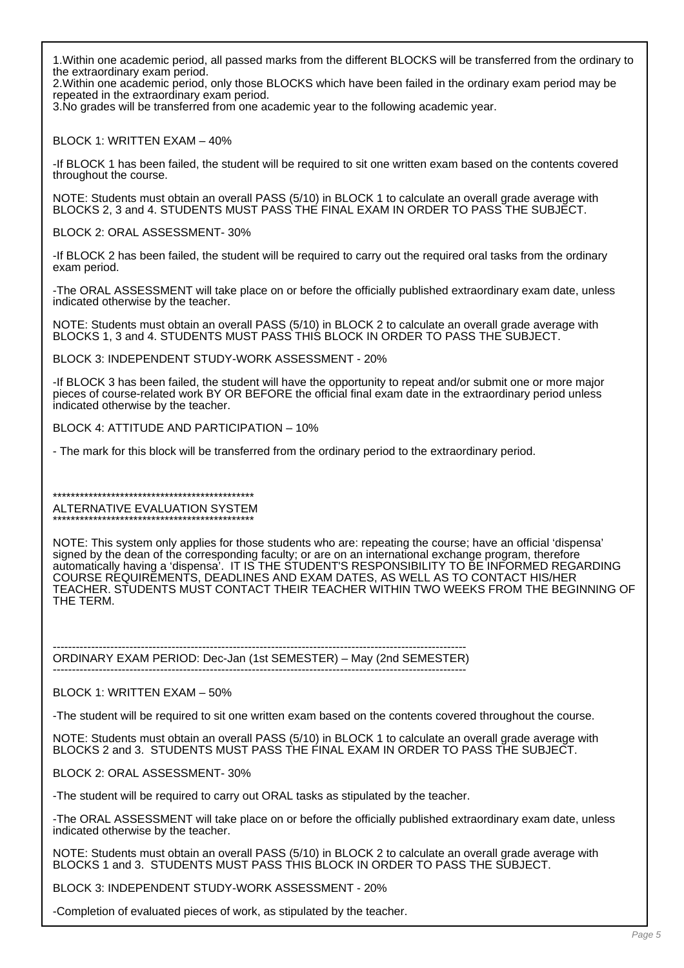1.Within one academic period, all passed marks from the different BLOCKS will be transferred from the ordinary to the extraordinary exam period.

2.Within one academic period, only those BLOCKS which have been failed in the ordinary exam period may be repeated in the extraordinary exam period.

3.No grades will be transferred from one academic year to the following academic year.

BLOCK 1: WRITTEN EXAM – 40%

-If BLOCK 1 has been failed, the student will be required to sit one written exam based on the contents covered throughout the course.

NOTE: Students must obtain an overall PASS (5/10) in BLOCK 1 to calculate an overall grade average with BLOCKS 2, 3 and 4. STUDENTS MUST PASS THE FINAL EXAM IN ORDER TO PASS THE SUBJECT.

BLOCK 2: ORAL ASSESSMENT- 30%

-If BLOCK 2 has been failed, the student will be required to carry out the required oral tasks from the ordinary exam period.

-The ORAL ASSESSMENT will take place on or before the officially published extraordinary exam date, unless indicated otherwise by the teacher.

NOTE: Students must obtain an overall PASS (5/10) in BLOCK 2 to calculate an overall grade average with BLOCKS 1, 3 and 4. STUDENTS MUST PASS THIS BLOCK IN ORDER TO PASS THE SUBJECT.

BLOCK 3: INDEPENDENT STUDY-WORK ASSESSMENT - 20%

-If BLOCK 3 has been failed, the student will have the opportunity to repeat and/or submit one or more major pieces of course-related work BY OR BEFORE the official final exam date in the extraordinary period unless indicated otherwise by the teacher.

BLOCK 4: ATTITUDE AND PARTICIPATION – 10%

- The mark for this block will be transferred from the ordinary period to the extraordinary period.

\*\*\*\*\*\*\*\*\*\*\*\*\*\*\*\*\*\*\*\*\*\*\*\*\*\*\*\*\*\*\*\*\*\*\*\*\*\*\*\*\*\*\*\*\* ALTERNATIVE EVALUATION SYSTEM \*\*\*\*\*\*\*\*\*\*\*\*\*\*\*\*\*\*\*\*\*\*\*\*\*\*\*\*\*\*\*\*\*\*\*\*\*\*\*\*\*\*\*\*\*

NOTE: This system only applies for those students who are: repeating the course; have an official 'dispensa' signed by the dean of the corresponding faculty; or are on an international exchange program, therefore automatically having a 'dispensa'. IT IS THE STUDENT'S RESPONSIBILITY TO BE INFORMED REGARDING COURSE REQUIREMENTS, DEADLINES AND EXAM DATES, AS WELL AS TO CONTACT HIS/HER TEACHER. STUDENTS MUST CONTACT THEIR TEACHER WITHIN TWO WEEKS FROM THE BEGINNING OF THE TERM.

------------------------------------------------------------------------------------------------------------ ORDINARY EXAM PERIOD: Dec-Jan (1st SEMESTER) – May (2nd SEMESTER) ------------------------------------------------------------------------------------------------------------

BLOCK 1: WRITTEN EXAM – 50%

-The student will be required to sit one written exam based on the contents covered throughout the course.

NOTE: Students must obtain an overall PASS (5/10) in BLOCK 1 to calculate an overall grade average with BLOCKS 2 and 3. STUDENTS MUST PASS THE FINAL EXAM IN ORDER TO PASS THE SUBJECT.

BLOCK 2: ORAL ASSESSMENT- 30%

-The student will be required to carry out ORAL tasks as stipulated by the teacher.

-The ORAL ASSESSMENT will take place on or before the officially published extraordinary exam date, unless indicated otherwise by the teacher.

NOTE: Students must obtain an overall PASS (5/10) in BLOCK 2 to calculate an overall grade average with BLOCKS 1 and 3. STUDENTS MUST PASS THIS BLOCK IN ORDER TO PASS THE SUBJECT.

BLOCK 3: INDEPENDENT STUDY-WORK ASSESSMENT - 20%

-Completion of evaluated pieces of work, as stipulated by the teacher.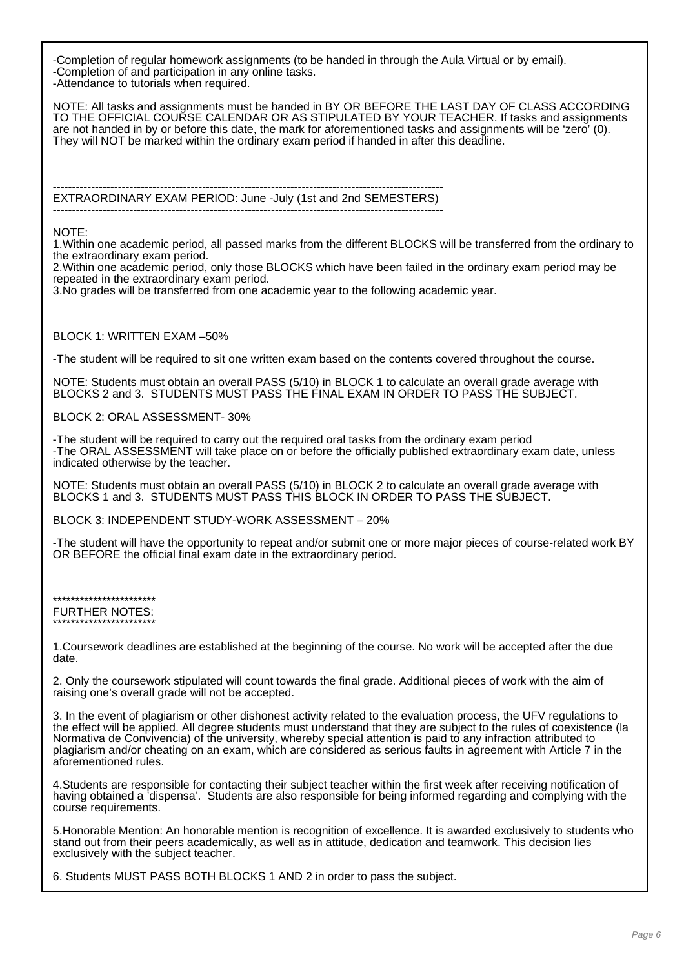-Completion of regular homework assignments (to be handed in through the Aula Virtual or by email). -Completion of and participation in any online tasks. -Attendance to tutorials when required.

NOTE: All tasks and assignments must be handed in BY OR BEFORE THE LAST DAY OF CLASS ACCORDING TO THE OFFICIAL COURSE CALENDAR OR AS STIPULATED BY YOUR TEACHER. If tasks and assignments are not handed in by or before this date, the mark for aforementioned tasks and assignments will be 'zero' (0). They will NOT be marked within the ordinary exam period if handed in after this deadline.

------------------------------------------------------------------------------------------------------ EXTRAORDINARY EXAM PERIOD: June -July (1st and 2nd SEMESTERS) ------------------------------------------------------------------------------------------------------

#### NOTE:

1.Within one academic period, all passed marks from the different BLOCKS will be transferred from the ordinary to the extraordinary exam period.

2.Within one academic period, only those BLOCKS which have been failed in the ordinary exam period may be repeated in the extraordinary exam period.

3.No grades will be transferred from one academic year to the following academic year.

#### BLOCK 1: WRITTEN EXAM –50%

-The student will be required to sit one written exam based on the contents covered throughout the course.

NOTE: Students must obtain an overall PASS (5/10) in BLOCK 1 to calculate an overall grade average with BLOCKS 2 and 3. STUDENTS MUST PASS THE FINAL EXAM IN ORDER TO PASS THE SUBJECT.

BLOCK 2: ORAL ASSESSMENT- 30%

-The student will be required to carry out the required oral tasks from the ordinary exam period -The ORAL ASSESSMENT will take place on or before the officially published extraordinary exam date, unless indicated otherwise by the teacher.

NOTE: Students must obtain an overall PASS (5/10) in BLOCK 2 to calculate an overall grade average with BLOCKS 1 and 3. STUDENTS MUST PASS THIS BLOCK IN ORDER TO PASS THE SUBJECT.

BLOCK 3: INDEPENDENT STUDY-WORK ASSESSMENT – 20%

-The student will have the opportunity to repeat and/or submit one or more major pieces of course-related work BY OR BEFORE the official final exam date in the extraordinary period.

\*\*\*\*\*\*\*\*\*\*\*\*\*\*\*\*\*\*\*\*\*\*\* FURTHER NOTES: \*\*\*\*\*\*\*\*\*\*\*\*\*\*\*\*\*\*\*\*\*\*\*

1.Coursework deadlines are established at the beginning of the course. No work will be accepted after the due date.

2. Only the coursework stipulated will count towards the final grade. Additional pieces of work with the aim of raising one's overall grade will not be accepted.

3. In the event of plagiarism or other dishonest activity related to the evaluation process, the UFV regulations to the effect will be applied. All degree students must understand that they are subject to the rules of coexistence (la Normativa de Convivencia) of the university, whereby special attention is paid to any infraction attributed to plagiarism and/or cheating on an exam, which are considered as serious faults in agreement with Article 7 in the aforementioned rules.

4.Students are responsible for contacting their subject teacher within the first week after receiving notification of having obtained a 'dispensa'. Students are also responsible for being informed regarding and complying with the course requirements.

5.Honorable Mention: An honorable mention is recognition of excellence. It is awarded exclusively to students who stand out from their peers academically, as well as in attitude, dedication and teamwork. This decision lies exclusively with the subject teacher.

6. Students MUST PASS BOTH BLOCKS 1 AND 2 in order to pass the subject.